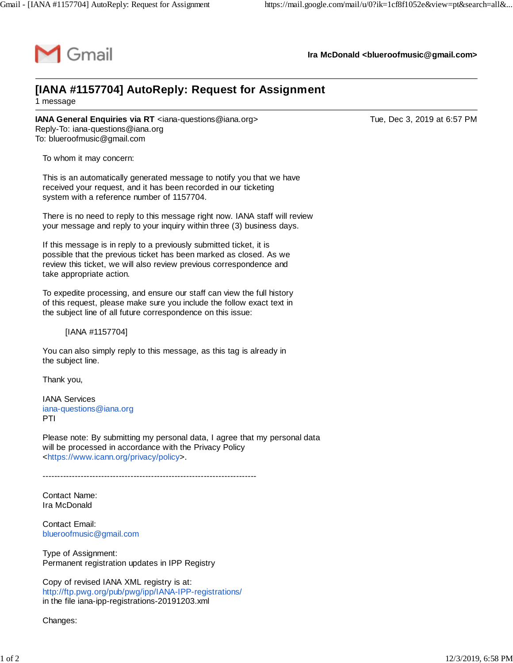

**Ira McDonald [<blueroofmusic@gmail.com>](mailto:blueroofmusic@gmail.com)**

## **[IANA #1157704] AutoReply: Request for Assignment** 1 message

**IANA General Enquiries via RT** <[iana-questions@iana.org](mailto:iana-questions@iana.org)> Tue, Dec 3, 2019 at 6:57 PM Reply-To: [iana-questions@iana.org](mailto:iana-questions@iana.org) To: [blueroofmusic@gmail.com](mailto:blueroofmusic@gmail.com)

To whom it may concern:

This is an automatically generated message to notify you that we have received your request, and it has been recorded in our ticketing system with a reference number of 1157704.

There is no need to reply to this message right now. IANA staff will review your message and reply to your inquiry within three (3) business days.

If this message is in reply to a previously submitted ticket, it is possible that the previous ticket has been marked as closed. As we review this ticket, we will also review previous correspondence and take appropriate action.

To expedite processing, and ensure our staff can view the full history of this request, please make sure you include the follow exact text in the subject line of all future correspondence on this issue:

[IANA #1157704]

You can also simply reply to this message, as this tag is already in the subject line.

Thank you,

IANA Services [iana-questions@iana.org](mailto:iana-questions@iana.org) PTI

Please note: By submitting my personal data, I agree that my personal data will be processed in accordance with the Privacy Policy <[https://www.icann.org/privacy/policy>](https://www.icann.org/privacy/policy).

-------------------------------------------------------------------------

Contact Name: Ira McDonald

Contact Email: [blueroofmusic@gmail.com](mailto:blueroofmusic@gmail.com)

Type of Assignment: Permanent registration updates in IPP Registry

Copy of revised IANA XML registry is at: <http://ftp.pwg.org/pub/pwg/ipp/IANA-IPP-registrations/> in the file iana-ipp-registrations-20191203.xml

Changes: